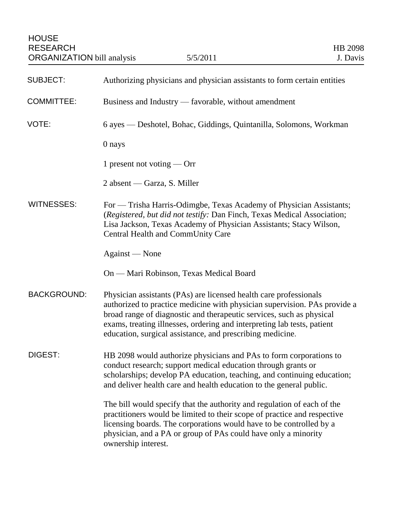| <b>HOUSE</b><br><b>RESEARCH</b><br><b>ORGANIZATION</b> bill analysis | 5/5/2011                                                                                                                                                                                                                                                                                                                                                       | HB 2098<br>J. Davis |
|----------------------------------------------------------------------|----------------------------------------------------------------------------------------------------------------------------------------------------------------------------------------------------------------------------------------------------------------------------------------------------------------------------------------------------------------|---------------------|
| <b>SUBJECT:</b>                                                      | Authorizing physicians and physician assistants to form certain entities                                                                                                                                                                                                                                                                                       |                     |
| <b>COMMITTEE:</b>                                                    | Business and Industry — favorable, without amendment                                                                                                                                                                                                                                                                                                           |                     |
| VOTE:                                                                | 6 ayes — Deshotel, Bohac, Giddings, Quintanilla, Solomons, Workman                                                                                                                                                                                                                                                                                             |                     |
|                                                                      | 0 nays                                                                                                                                                                                                                                                                                                                                                         |                     |
|                                                                      | 1 present not voting — Orr                                                                                                                                                                                                                                                                                                                                     |                     |
|                                                                      | 2 absent — Garza, S. Miller                                                                                                                                                                                                                                                                                                                                    |                     |
| <b>WITNESSES:</b>                                                    | For — Trisha Harris-Odimgbe, Texas Academy of Physician Assistants;<br>(Registered, but did not testify: Dan Finch, Texas Medical Association;<br>Lisa Jackson, Texas Academy of Physician Assistants; Stacy Wilson,<br>Central Health and CommUnity Care                                                                                                      |                     |
|                                                                      | Against — None                                                                                                                                                                                                                                                                                                                                                 |                     |
|                                                                      | On — Mari Robinson, Texas Medical Board                                                                                                                                                                                                                                                                                                                        |                     |
| <b>BACKGROUND:</b>                                                   | Physician assistants (PAs) are licensed health care professionals<br>authorized to practice medicine with physician supervision. PAs provide a<br>broad range of diagnostic and therapeutic services, such as physical<br>exams, treating illnesses, ordering and interpreting lab tests, patient<br>education, surgical assistance, and prescribing medicine. |                     |
| DIGEST:                                                              | HB 2098 would authorize physicians and PAs to form corporations to<br>conduct research; support medical education through grants or<br>scholarships; develop PA education, teaching, and continuing education;<br>and deliver health care and health education to the general public.                                                                          |                     |
|                                                                      | The bill would specify that the authority and regulation of each of the<br>practitioners would be limited to their scope of practice and respective<br>licensing boards. The corporations would have to be controlled by a<br>physician, and a PA or group of PAs could have only a minority<br>ownership interest.                                            |                     |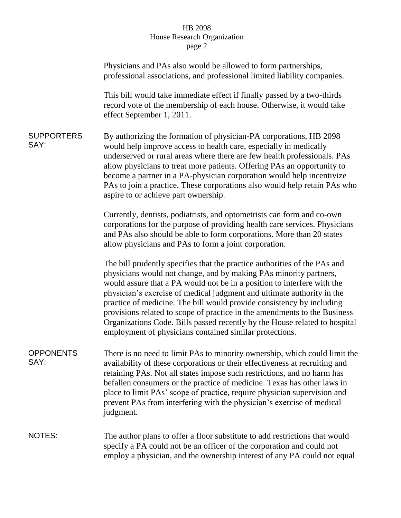## HB 2098 House Research Organization page 2

|                           | Physicians and PAs also would be allowed to form partnerships,<br>professional associations, and professional limited liability companies.                                                                                                                                                                                                                                                                                                                                                                                                                                                         |  |
|---------------------------|----------------------------------------------------------------------------------------------------------------------------------------------------------------------------------------------------------------------------------------------------------------------------------------------------------------------------------------------------------------------------------------------------------------------------------------------------------------------------------------------------------------------------------------------------------------------------------------------------|--|
|                           | This bill would take immediate effect if finally passed by a two-thirds<br>record vote of the membership of each house. Otherwise, it would take<br>effect September 1, 2011.                                                                                                                                                                                                                                                                                                                                                                                                                      |  |
| <b>SUPPORTERS</b><br>SAY: | By authorizing the formation of physician-PA corporations, HB 2098<br>would help improve access to health care, especially in medically<br>underserved or rural areas where there are few health professionals. PAs<br>allow physicians to treat more patients. Offering PAs an opportunity to<br>become a partner in a PA-physician corporation would help incentivize<br>PAs to join a practice. These corporations also would help retain PAs who<br>aspire to or achieve part ownership.                                                                                                       |  |
|                           | Currently, dentists, podiatrists, and optometrists can form and co-own<br>corporations for the purpose of providing health care services. Physicians<br>and PAs also should be able to form corporations. More than 20 states<br>allow physicians and PAs to form a joint corporation.                                                                                                                                                                                                                                                                                                             |  |
|                           | The bill prudently specifies that the practice authorities of the PAs and<br>physicians would not change, and by making PAs minority partners,<br>would assure that a PA would not be in a position to interfere with the<br>physician's exercise of medical judgment and ultimate authority in the<br>practice of medicine. The bill would provide consistency by including<br>provisions related to scope of practice in the amendments to the Business<br>Organizations Code. Bills passed recently by the House related to hospital<br>employment of physicians contained similar protections. |  |
| <b>OPPONENTS</b><br>SAY:  | There is no need to limit PAs to minority ownership, which could limit the<br>availability of these corporations or their effectiveness at recruiting and<br>retaining PAs. Not all states impose such restrictions, and no harm has<br>befallen consumers or the practice of medicine. Texas has other laws in<br>place to limit PAs' scope of practice, require physician supervision and<br>prevent PAs from interfering with the physician's exercise of medical<br>judgment.                                                                                                                  |  |
| <b>NOTES:</b>             | The author plans to offer a floor substitute to add restrictions that would<br>specify a PA could not be an officer of the corporation and could not<br>employ a physician, and the ownership interest of any PA could not equal                                                                                                                                                                                                                                                                                                                                                                   |  |